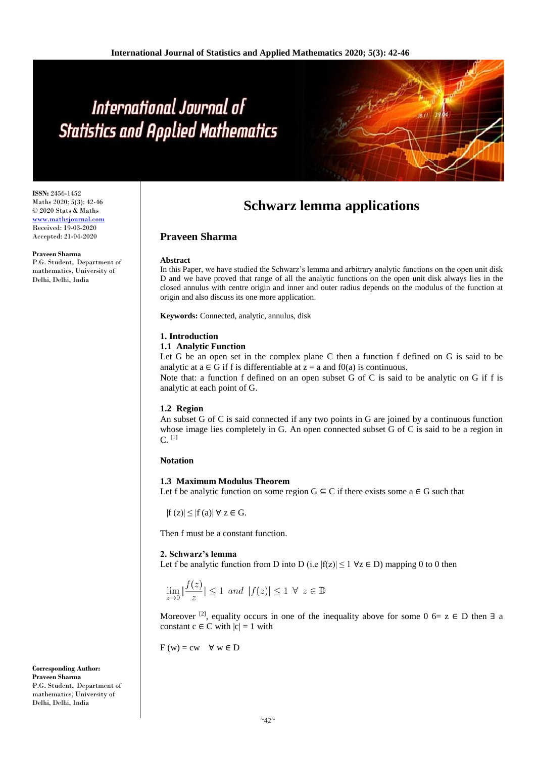# International Journal of **Statistics and Applied Mathematics**

**ISSN:** 2456-1452 Maths 2020; 5(3): 42-46 © 2020 Stats & Maths <www.mathsjournal.com> Received: 19-03-2020 Accepted: 21-04-2020

**Praveen Sharma** P.G. Student, Department of mathematics, University of Delhi, Delhi, India

# **Schwarz lemma applications**

# **Praveen Sharma**

#### **Abstract**

In this Paper, we have studied the Schwarz's lemma and arbitrary analytic functions on the open unit disk D and we have proved that range of all the analytic functions on the open unit disk always lies in the closed annulus with centre origin and inner and outer radius depends on the modulus of the function at origin and also discuss its one more application.

**Keywords:** Connected, analytic, annulus, disk

#### **1. Introduction**

#### **1.1 Analytic Function**

Let G be an open set in the complex plane C then a function f defined on G is said to be analytic at  $a \in G$  if f is differentiable at  $z = a$  and f0(a) is continuous.

Note that: a function f defined on an open subset G of C is said to be analytic on G if f is analytic at each point of G.

#### **1.2 Region**

An subset G of C is said connected if any two points in G are joined by a continuous function whose image lies completely in G. An open connected subset G of C is said to be a region in  $C.$ <sup>[1]</sup>

#### **Notation**

# **1.3 Maximum Modulus Theorem**

Let f be analytic function on some region  $G \subseteq C$  if there exists some  $a \in G$  such that

 $|f(z)| \leq |f(a)| \forall z \in G$ .

Then f must be a constant function.

#### **2. Schwarz's lemma**

Let f be analytic function from D into D (i.e  $|f(z)| \le 1 \forall z \in D$ ) mapping 0 to 0 then

$$
\lim_{z \to 0} |\frac{f(z)}{z}| \le 1 \ and \ |f(z)| \le 1 \ \forall \ z \in \mathbb{D}
$$

Moreover <sup>[2]</sup>, equality occurs in one of the inequality above for some 0 6= z  $\in$  D then  $\exists$  a constant  $c \in C$  with  $|c| = 1$  with

 $F(w) = cw \quad \forall w \in D$ 

**Corresponding Author: Praveen Sharma** P.G. Student, Department of mathematics, University of Delhi, Delhi, India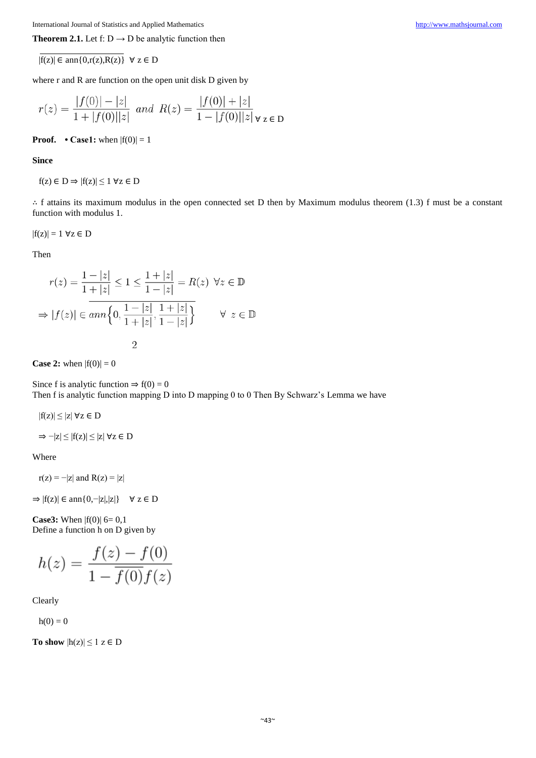**Theorem 2.1.** Let f:  $D \rightarrow D$  be analytic function then

 $|f(z)| \in \text{ann}\{0, r(z), R(z)\}$   $\forall z \in D$ 

where r and R are function on the open unit disk D given by

$$
r(z) = \frac{|f(0)| - |z|}{1 + |f(0)||z|} \text{ and } R(z) = \frac{|f(0)| + |z|}{1 - |f(0)||z|} \forall z \in D
$$

**Proof.**  $\cdot$  **Case1:** when  $|f(0)| = 1$ 

**Since**

$$
f(z) \in D \Rightarrow |f(z)| \le 1 \,\,\forall z \in D
$$

∴ f attains its maximum modulus in the open connected set D then by Maximum modulus theorem (1.3) f must be a constant function with modulus 1.

$$
|f(z)| = 1 \,\,\forall z \in D
$$

Then

$$
r(z) = \frac{1 - |z|}{1 + |z|} \le 1 \le \frac{1 + |z|}{1 - |z|} = R(z) \quad \forall z \in \mathbb{D}
$$

$$
\Rightarrow |f(z)| \in ann\left\{0, \frac{1 - |z|}{1 + |z|}, \frac{1 + |z|}{1 - |z|}\right\} \qquad \forall z \in \mathbb{D}
$$

**Case 2:** when  $|f(0)| = 0$ 

Since f is analytic function  $\Rightarrow$  f(0) = 0 Then f is analytic function mapping D into D mapping 0 to 0 Then By Schwarz's Lemma we have

 $|f(z)| \leq |z| \; \forall z \in D$ 

 $\Rightarrow -|z| \le |f(z)| \le |z| \; \forall z \in D$ 

Where

 $r(z) = -|z|$  and  $R(z) = |z|$ 

 $\Rightarrow$   $|f(z)| \in \text{ann}\{0, -|z|, |z|\}$   $\forall z \in D$ 

**Case3:** When  $|f(0)|$  6= 0,1 Define a function h on D given by

$$
h(z) = \frac{f(z) - f(0)}{1 - \overline{f(0)}f(z)}
$$

Clearly

 $h(0) = 0$ 

**To show**  $|h(z)| \leq 1$   $z \in D$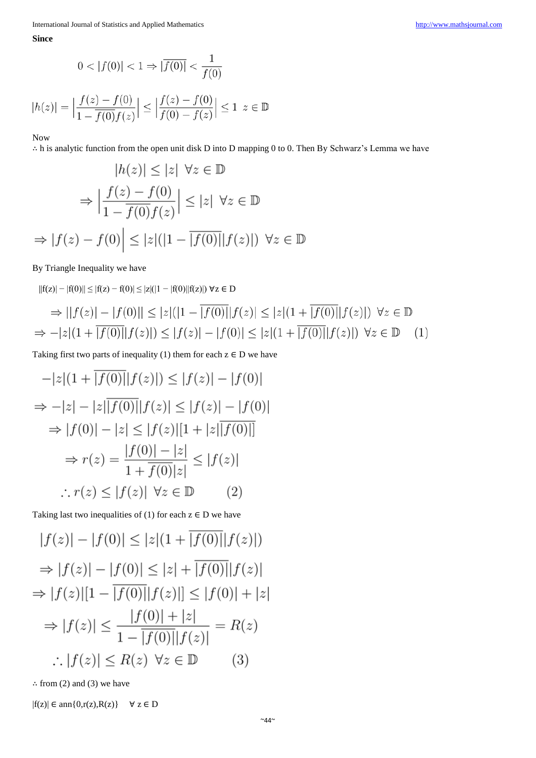**Since**

$$
0 < |f(0)| < 1 \Rightarrow |\overline{f(0)}| < \frac{1}{f(0)}
$$

$$
|h(z)| = \left| \frac{f(z) - f(0)}{1 - \overline{f(0)}f(z)} \right| \le \left| \frac{f(z) - f(0)}{f(0) - f(z)} \right| \le 1 \ z \in \mathbb{D}
$$

Now

∴ h is analytic function from the open unit disk D into D mapping 0 to 0. Then By Schwarz's Lemma we have

$$
|h(z)| \le |z| \quad \forall z \in \mathbb{D}
$$

$$
\Rightarrow \left| \frac{f(z) - f(0)}{1 - \overline{f(0)} f(z)} \right| \le |z| \quad \forall z \in \mathbb{D}
$$

$$
\Rightarrow |f(z) - f(0)| \le |z| (|1 - \overline{|f(0)|} |f(z)|) \quad \forall z \in \mathbb{D}
$$

# By Triangle Inequality we have

$$
||f(z)| - |f(0)|| \le |f(z) - f(0)| \le |z|(|1 - |f(0)||f(z)|) \forall z \in D
$$
  
\n
$$
\Rightarrow ||f(z)| - |f(0)|| \le |z|(|1 - |f(0)||f(z)|) \le |z|(|1 + |f(0)||f(z)|) \forall z \in D
$$
  
\n
$$
\Rightarrow -|z|(1 + |f(0)||f(z)|) \le |f(z)| - |f(0)| \le |z|(1 + |f(0)||f(z)|) \forall z \in D
$$
 (1)

Taking first two parts of inequality (1) them for each  $z \in D$  we have

$$
-|z|(1 + \overline{|f(0)|}|f(z)|) \le |f(z)| - |f(0)|
$$
  
\n
$$
\Rightarrow -|z| - |z|\overline{|f(0)|}|f(z)| \le |f(z)| - |f(0)|
$$
  
\n
$$
\Rightarrow |f(0)| - |z| \le |f(z)|[1 + |z|\overline{|f(0)|}]
$$
  
\n
$$
\Rightarrow r(z) = \frac{|f(0)| - |z|}{1 + \overline{f(0)}|z|} \le |f(z)|
$$
  
\n
$$
\therefore r(z) \le |f(z)| \quad \forall z \in \mathbb{D}
$$
 (2)

Taking last two inequalities of (1) for each  $z \in D$  we have

$$
|f(z)| - |f(0)| \le |z|(1 + \overline{|f(0)|}|f(z)|)
$$
  
\n
$$
\Rightarrow |f(z)| - |f(0)| \le |z| + \overline{|f(0)|}|f(z)|
$$
  
\n
$$
\Rightarrow |f(z)|[1 - \overline{|f(0)|}|f(z)|] \le |f(0)| + |z|
$$
  
\n
$$
\Rightarrow |f(z)| \le \frac{|f(0)| + |z|}{1 - \overline{|f(0)|}|f(z)|} = R(z)
$$
  
\n
$$
\therefore |f(z)| \le R(z) \quad \forall z \in \mathbb{D}
$$
 (3)

∴ from (2) and (3) we have

 $|f(z)| \in \text{ann}\{0, r(z), R(z)\}$   $\forall z \in D$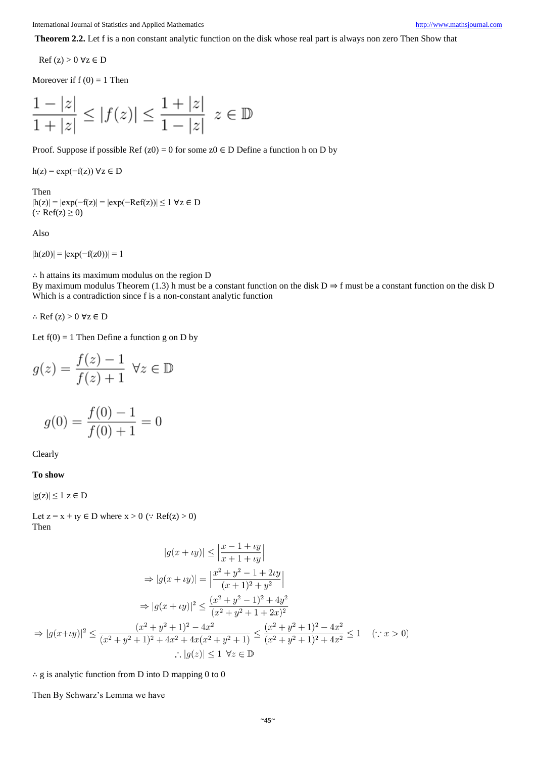**Theorem 2.2.** Let f is a non constant analytic function on the disk whose real part is always non zero Then Show that

 $\text{Ref}(z) > 0 \,\forall z \in D$ 

Moreover if  $f(0) = 1$  Then

$$
\frac{1-|z|}{1+|z|} \le |f(z)| \le \frac{1+|z|}{1-|z|} \ z \in \mathbb{D}
$$

Proof. Suppose if possible Ref  $(z0) = 0$  for some  $z0 \in D$  Define a function h on D by

 $h(z) = exp(-f(z)) \forall z \in D$ 

# Then

|h(z)| = |exp(−f(z)| = |exp(−Ref(z))| ≤ 1 ∀z ∈ D ( $∴ \text{Ref}(z) ≥ 0$ )

Also

 $|h(z0)| = |\exp(-f(z0))| = 1$ 

∴ h attains its maximum modulus on the region D

By maximum modulus Theorem (1.3) h must be a constant function on the disk  $D \Rightarrow f$  must be a constant function on the disk D Which is a contradiction since f is a non-constant analytic function

∴ Ref (z) > 0 ∀z ∈ D

Let  $f(0) = 1$  Then Define a function g on D by

$$
g(z) = \frac{f(z) - 1}{f(z) + 1} \quad \forall z \in \mathbb{D}
$$

$$
g(0) = \frac{f(0) - 1}{f(0) + 1} = 0
$$

Clearly

**To show**

 $|g(z)| \leq 1$   $z \in D$ 

Let  $z = x + iy \in D$  where  $x > 0$  ( $\because$  Ref( $z$ ) > 0) Then

$$
|g(x + iy)| \le \left|\frac{x-1+iy}{x+1+iy}\right|
$$
  
\n
$$
\Rightarrow |g(x + iy)| = \left|\frac{x^2+y^2-1+2iy}{(x+1)^2+y^2}\right|
$$
  
\n
$$
\Rightarrow |g(x + iy)|^2 \le \frac{(x^2+y^2-1)^2+4y^2}{(x^2+y^2+1+2x)^2}
$$
  
\n
$$
\Rightarrow |g(x+iy)|^2 \le \frac{(x^2+y^2+1)^2-4x^2}{(x^2+y^2+1)^2+4x^2+4x(x^2+y^2+1)} \le \frac{(x^2+y^2+1)^2-4x^2}{(x^2+y^2+1)^2+4x^2} \le 1 \quad (\because x > 0)
$$
  
\n
$$
\therefore |g(z)| \le 1 \quad \forall z \in \mathbb{D}
$$

 $\therefore$  g is analytic function from D into D mapping 0 to 0

Then By Schwarz's Lemma we have